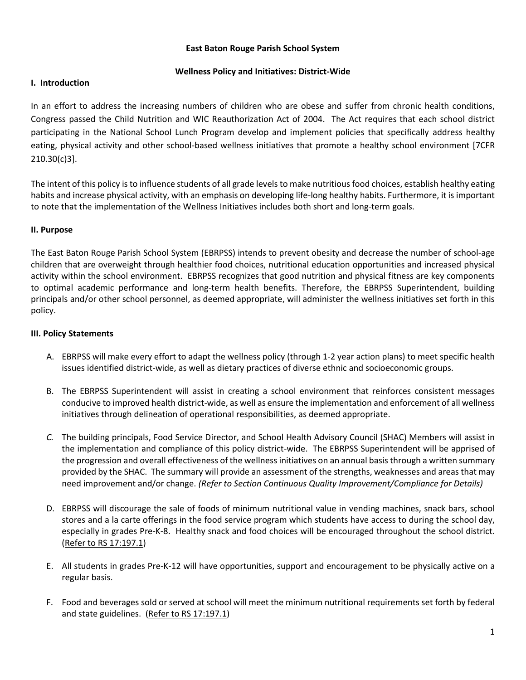### **East Baton Rouge Parish School System**

### **Wellness Policy and Initiatives: District-Wide**

### **I. Introduction**

In an effort to address the increasing numbers of children who are obese and suffer from chronic health conditions, Congress passed the Child Nutrition and WIC Reauthorization Act of 2004. The Act requires that each school district participating in the National School Lunch Program develop and implement policies that specifically address healthy eating, physical activity and other school-based wellness initiatives that promote a healthy school environment [7CFR 210.30(c)3].

The intent of this policy is to influence students of all grade levels to make nutritious food choices, establish healthy eating habits and increase physical activity, with an emphasis on developing life-long healthy habits. Furthermore, it is important to note that the implementation of the Wellness Initiatives includes both short and long-term goals.

### **II. Purpose**

The East Baton Rouge Parish School System (EBRPSS) intends to prevent obesity and decrease the number of school-age children that are overweight through healthier food choices, nutritional education opportunities and increased physical activity within the school environment. EBRPSS recognizes that good nutrition and physical fitness are key components to optimal academic performance and long-term health benefits. Therefore, the EBRPSS Superintendent, building principals and/or other school personnel, as deemed appropriate, will administer the wellness initiatives set forth in this policy.

### **III. Policy Statements**

- A. EBRPSS will make every effort to adapt the wellness policy (through 1-2 year action plans) to meet specific health issues identified district-wide, as well as dietary practices of diverse ethnic and socioeconomic groups.
- B. The EBRPSS Superintendent will assist in creating a school environment that reinforces consistent messages conducive to improved health district-wide, as well as ensure the implementation and enforcement of all wellness initiatives through delineation of operational responsibilities, as deemed appropriate.
- *C.* The building principals, Food Service Director, and School Health Advisory Council (SHAC) Members will assist in the implementation and compliance of this policy district-wide. The EBRPSS Superintendent will be apprised of the progression and overall effectiveness of the wellness initiatives on an annual basis through a written summary provided by the SHAC. The summary will provide an assessment of the strengths, weaknesses and areas that may need improvement and/or change. *(Refer to Section Continuous Quality Improvement/Compliance for Details)*
- D. EBRPSS will discourage the sale of foods of minimum nutritional value in vending machines, snack bars, school stores and a la carte offerings in the food service program which students have access to during the school day, especially in grades Pre-K-8. Healthy snack and food choices will be encouraged throughout the school district. [\(Refer to RS 17:197.1\)](http://www.legis.la.gov/Legis/Law.aspx?d=321557)
- E. All students in grades Pre-K-12 will have opportunities, support and encouragement to be physically active on a regular basis.
- F. Food and beverages sold or served at school will meet the minimum nutritional requirements set forth by federal and state guidelines. [\(Refer to RS 17:197.1\)](http://www.legis.la.gov/Legis/Law.aspx?d=321557)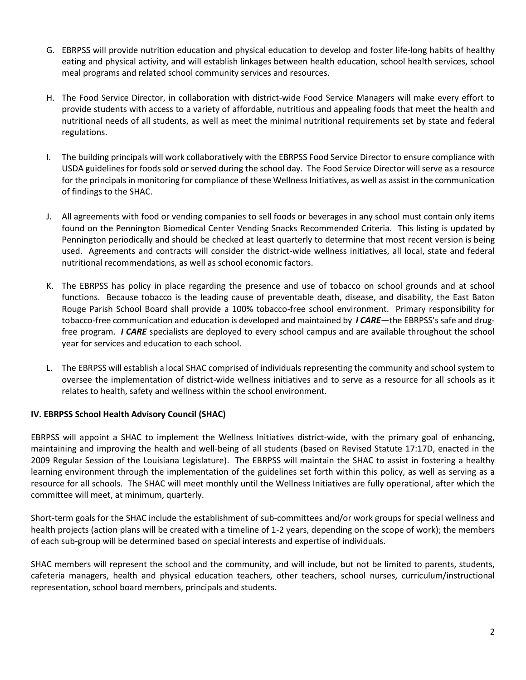- G. EBRPSS will provide nutrition education and physical education to develop and foster life-long habits of healthy eating and physical activity, and will establish linkages between health education, school health services, school meal programs and related school community services and resources.
- H. The Food Service Director, in collaboration with district-wide Food Service Managers will make every effort to provide students with access to a variety of affordable, nutritious and appealing foods that meet the health and nutritional needs of all students, as well as meet the minimal nutritional requirements set by state and federal regulations.
- I. The building principals will work collaboratively with the EBRPSS Food Service Director to ensure compliance with USDA guidelines for foods sold or served during the school day. The Food Service Director will serve as a resource for the principals in monitoring for compliance of these Wellness Initiatives, as well as assist in the communication of findings to the SHAC.
- J. All agreements with food or vending companies to sell foods or beverages in any school must contain only items found on the Pennington Biomedical Center Vending Snacks Recommended Criteria. This listing is updated by Pennington periodically and should be checked at least quarterly to determine that most recent version is being used. Agreements and contracts will consider the district-wide wellness initiatives, all local, state and federal nutritional recommendations, as well as school economic factors.
- K. The EBRPSS has policy in place regarding the presence and use of tobacco on school grounds and at school functions. Because tobacco is the leading cause of preventable death, disease, and disability, the East Baton Rouge Parish School Board shall provide a 100% tobacco-free school environment. Primary responsibility for tobacco-free communication and education is developed and maintained by *I CARE*—the EBRPSS's safe and drugfree program. *I CARE* specialists are deployed to every school campus and are available throughout the school year for services and education to each school.
- L. The EBRPSS will establish a local SHAC comprised of individuals representing the community and school system to oversee the implementation of district-wide wellness initiatives and to serve as a resource for all schools as it relates to health, safety and wellness within the school environment.

## **IV. EBRPSS School Health Advisory Council (SHAC)**

EBRPSS will appoint a SHAC to implement the Wellness Initiatives district-wide, with the primary goal of enhancing, maintaining and improving the health and well-being of all students (based on Revised Statute 17:17D, enacted in the 2009 Regular Session of the Louisiana Legislature). The EBRPSS will maintain the SHAC to assist in fostering a healthy learning environment through the implementation of the guidelines set forth within this policy, as well as serving as a resource for all schools. The SHAC will meet monthly until the Wellness Initiatives are fully operational, after which the committee will meet, at minimum, quarterly.

Short-term goals for the SHAC include the establishment of sub-committees and/or work groups for special wellness and health projects (action plans will be created with a timeline of 1-2 years, depending on the scope of work); the members of each sub-group will be determined based on special interests and expertise of individuals.

SHAC members will represent the school and the community, and will include, but not be limited to parents, students, cafeteria managers, health and physical education teachers, other teachers, school nurses, curriculum/instructional representation, school board members, principals and students.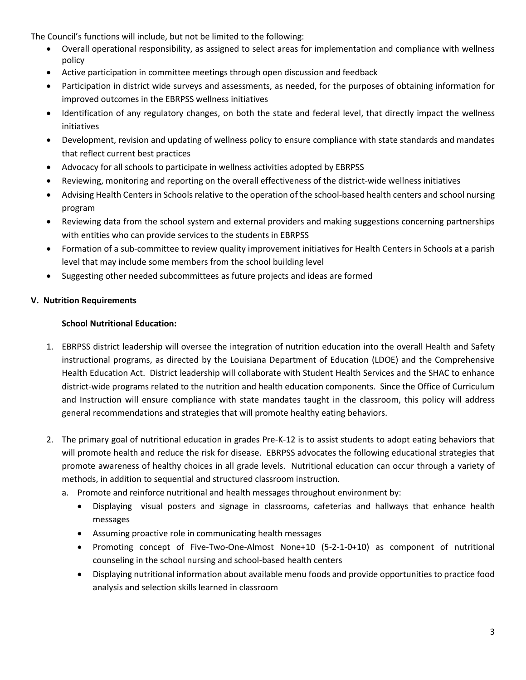The Council's functions will include, but not be limited to the following:

- Overall operational responsibility, as assigned to select areas for implementation and compliance with wellness policy
- Active participation in committee meetings through open discussion and feedback
- Participation in district wide surveys and assessments, as needed, for the purposes of obtaining information for improved outcomes in the EBRPSS wellness initiatives
- Identification of any regulatory changes, on both the state and federal level, that directly impact the wellness initiatives
- Development, revision and updating of wellness policy to ensure compliance with state standards and mandates that reflect current best practices
- Advocacy for all schools to participate in wellness activities adopted by EBRPSS
- Reviewing, monitoring and reporting on the overall effectiveness of the district-wide wellness initiatives
- Advising Health Centers in Schools relative to the operation of the school-based health centers and school nursing program
- Reviewing data from the school system and external providers and making suggestions concerning partnerships with entities who can provide services to the students in EBRPSS
- Formation of a sub-committee to review quality improvement initiatives for Health Centers in Schools at a parish level that may include some members from the school building level
- Suggesting other needed subcommittees as future projects and ideas are formed

## **V. Nutrition Requirements**

# **School Nutritional Education:**

- 1. EBRPSS district leadership will oversee the integration of nutrition education into the overall Health and Safety instructional programs, as directed by the Louisiana Department of Education (LDOE) and the Comprehensive Health Education Act. District leadership will collaborate with Student Health Services and the SHAC to enhance district-wide programs related to the nutrition and health education components. Since the Office of Curriculum and Instruction will ensure compliance with state mandates taught in the classroom, this policy will address general recommendations and strategies that will promote healthy eating behaviors.
- 2. The primary goal of nutritional education in grades Pre-K-12 is to assist students to adopt eating behaviors that will promote health and reduce the risk for disease. EBRPSS advocates the following educational strategies that promote awareness of healthy choices in all grade levels. Nutritional education can occur through a variety of methods, in addition to sequential and structured classroom instruction.
	- a. Promote and reinforce nutritional and health messages throughout environment by:
		- Displaying visual posters and signage in classrooms, cafeterias and hallways that enhance health messages
		- Assuming proactive role in communicating health messages
		- Promoting concept of Five-Two-One-Almost None+10 (5-2-1-0+10) as component of nutritional counseling in the school nursing and school-based health centers
		- Displaying nutritional information about available menu foods and provide opportunities to practice food analysis and selection skills learned in classroom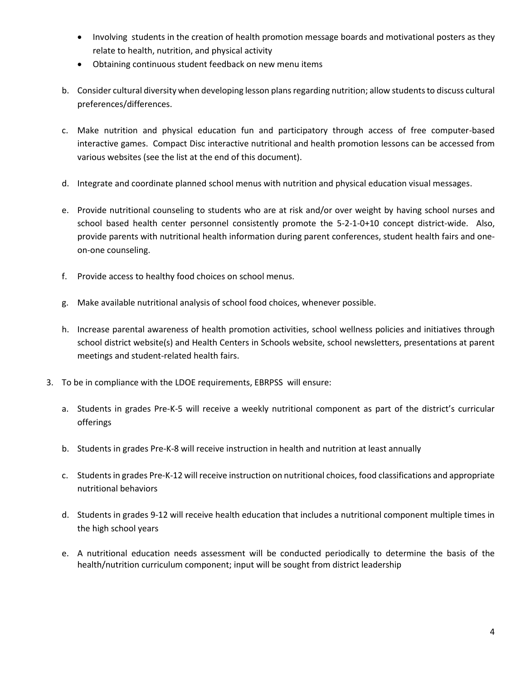- Involving students in the creation of health promotion message boards and motivational posters as they relate to health, nutrition, and physical activity
- Obtaining continuous student feedback on new menu items
- b. Consider cultural diversity when developing lesson plans regarding nutrition; allow students to discuss cultural preferences/differences.
- c. Make nutrition and physical education fun and participatory through access of free computer-based interactive games. Compact Disc interactive nutritional and health promotion lessons can be accessed from various websites (see the list at the end of this document).
- d. Integrate and coordinate planned school menus with nutrition and physical education visual messages.
- e. Provide nutritional counseling to students who are at risk and/or over weight by having school nurses and school based health center personnel consistently promote the 5-2-1-0+10 concept district-wide. Also, provide parents with nutritional health information during parent conferences, student health fairs and oneon-one counseling.
- f. Provide access to healthy food choices on school menus.
- g. Make available nutritional analysis of school food choices, whenever possible.
- h. Increase parental awareness of health promotion activities, school wellness policies and initiatives through school district website(s) and Health Centers in Schools website, school newsletters, presentations at parent meetings and student-related health fairs.
- 3. To be in compliance with the LDOE requirements, EBRPSS will ensure:
	- a. Students in grades Pre-K-5 will receive a weekly nutritional component as part of the district's curricular offerings
	- b. Students in grades Pre-K-8 will receive instruction in health and nutrition at least annually
	- c. Students in grades Pre-K-12 will receive instruction on nutritional choices, food classifications and appropriate nutritional behaviors
	- d. Students in grades 9-12 will receive health education that includes a nutritional component multiple times in the high school years
	- e. A nutritional education needs assessment will be conducted periodically to determine the basis of the health/nutrition curriculum component; input will be sought from district leadership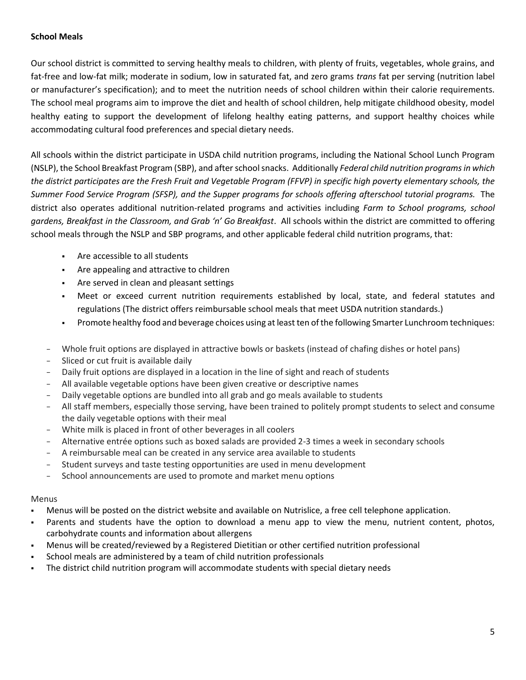### **School Meals**

Our school district is committed to serving healthy meals to children, with plenty of fruits, vegetables, whole grains, and fat-free and low-fat milk; moderate in sodium, low in saturated fat, and zero grams *trans* fat per serving (nutrition label or manufacturer's specification); and to meet the nutrition needs of school children within their calorie requirements. The school meal programs aim to improve the diet and health of school children, help mitigate childhood obesity, model healthy eating to support the development of lifelong healthy eating patterns, and support healthy choices while accommodating cultural food preferences and special dietary needs.

All schools within the district participate in USDA child nutrition programs, including the National School Lunch Program (NSLP), the School Breakfast Program (SBP), and after school snacks. Additionally *Federal child nutrition programs in which the district participates are the Fresh Fruit and Vegetable Program (FFVP) in specific high poverty elementary schools, the Summer Food Service Program (SFSP), and the Supper programs for schools offering afterschool tutorial programs.* The district also operates additional nutrition-related programs and activities including *Farm to School programs, school gardens, Breakfast in the Classroom, and Grab 'n' Go Breakfast*. All schools within the district are committed to offering school meals through the NSLP and SBP programs, and other applicable federal child nutrition programs, that:

- Are accessible to all students
- Are appealing and attractive to children
- Are served in clean and pleasant settings
- Meet or exceed current nutrition requirements established by local, state, and federal statutes and regulations (The district offers reimbursable school meals that meet [USDA nutrition standards.](http://www.fns.usda.gov/school-meals/nutrition-standards-school-meals))
- Promote healthy food and beverage choices using at least ten of the followin[g Smarter Lunchroom techniques:](http://smarterlunchrooms.org/ideas)
- − Whole fruit options are displayed in attractive bowls or baskets (instead of chafing dishes or hotel pans)
- Sliced or cut fruit is available daily
- Daily fruit options are displayed in a location in the line of sight and reach of students
- − All available vegetable options have been given creative or descriptive names
- Daily vegetable options are bundled into all grab and go meals available to students
- − All staff members, especially those serving, have been trained to politely prompt students to select and consume the daily vegetable options with their meal
- White milk is placed in front of other beverages in all coolers
- − Alternative entrée options such as boxed salads are provided 2-3 times a week in secondary schools
- − A reimbursable meal can be created in any service area available to students
- Student surveys and taste testing opportunities are used in menu development
- School announcements are used to promote and market menu options

### Menus

- Menus will be posted on the district website and available on Nutrislice, a free cell telephone application.
- Parents and students have the option to download a menu app to view the menu, nutrient content, photos, carbohydrate counts and information about allergens
- Menus will be created/reviewed by a Registered Dietitian or other certified nutrition professional
- School meals are administered by a team of child nutrition professionals
- The district child nutrition program will accommodate students with special dietary needs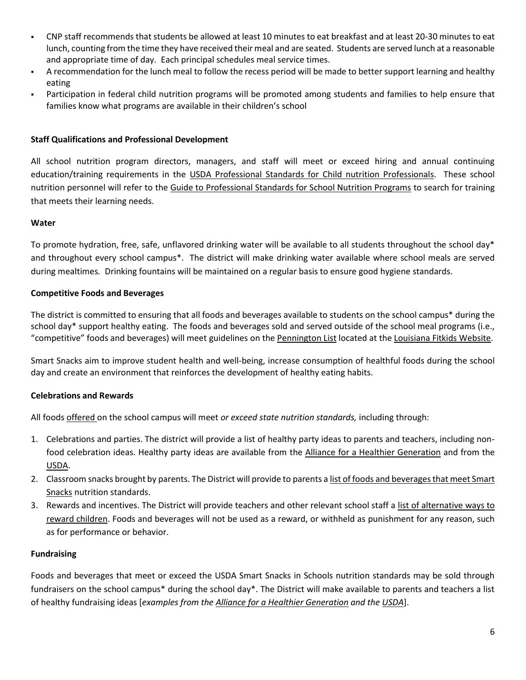- CNP staff recommends that students be allowed at least 10 minutes to eat breakfast and at least 20-30 minutes to eat lunch, counting from the time they have received their meal and are seated. Students are served lunch at a reasonable and appropriate time of day. Each principal schedules meal service times.
- A recommendation for the lunch meal to follow the recess period will be made to better support learning and healthy eating
- Participation in federal child nutrition programs will be promoted among students and families to help ensure that families know what programs are available in their children's school

### **Staff Qualifications and Professional Development**

All school nutrition program directors, managers, and staff will meet or exceed hiring and annual continuing education/training requirements in the [USDA Professional Standards for Child nutrition Professionals.](http://www.fns.usda.gov/sites/default/files/CN2014-0130.pdf) These school nutrition personnel will refer to the [Guide to Professional Standards for School Nutrition Programs](https://www.fns.usda.gov/tn/guide-professional-standards-school-nutrition-programs) to search for training that meets their learning needs.

### **Water**

To promote hydration, free, safe, unflavored drinking water will be available to all students throughout the school day\* and throughout every school campus\*. The district will make drinking water available where school meals are served during mealtimes*.* Drinking fountains will be maintained on a regular basis to ensure good hygiene standards.

### **Competitive Foods and Beverages**

The district is committed to ensuring that all foods and beverages available to students on the school campus\* during the school day\* support healthy eating. The foods and beverages sold and served outside of the school meal programs (i.e., "competitive" foods and beverages) will meet guidelines on the <u>Pennington List</u> located at the <u>Louisiana Fitkids Website</u>.

Smart Snacks aim to improve student health and well-being, increase consumption of healthful foods during the school day and create an environment that reinforces the development of healthy eating habits.

## **Celebrations and Rewards**

All foods offered on the school campus will meet *or exceed state nutrition standards,* including through:

- 1. Celebrations and parties. The district will provide a list of healthy party ideas to parents and teachers, including nonfood celebration ideas. Healthy party ideas are available from the [Alliance for a Healthier Generation](https://www.healthiergeneration.org/take_action/schools/snacks_and_beverages/celebrations/) and from the [USDA.](http://healthymeals.nal.usda.gov/local-wellness-policy-resources/wellness-policy-elements/healthy-celebrations)
- 2. Classroom snacks brought by parents. The District will provide to parents a list of foods and beverages that meet Smart [Snacks](https://www.healthiergeneration.org/live_healthier/eat_healthier/alliance_product_navigator/browse_products/?product_category_id=720) nutrition standards.
- 3. Rewards and incentives. The District will provide teachers and other relevant school staff a list of alternative ways to [reward children.](https://www.healthiergeneration.org/take_action/schools/snacks_and_beverages/non-food_rewards/) Foods and beverages will not be used as a reward, or withheld as punishment for any reason, such as for performance or behavior.

### **Fundraising**

Foods and beverages that meet or exceed the USDA Smart Snacks in Schools nutrition standards may be sold through fundraisers on the school campus\* during the school day\*. The District will make available to parents and teachers a list of healthy fundraising ideas [*examples from the [Alliance for a Healthier Generation](https://www.healthiergeneration.org/take_action/schools/snacks_and_beverages/fundraisers/) and th[e USDA](http://healthymeals.nal.usda.gov/local-wellness-policy-resources/wellness-policy-elements/healthy-fundraising)*].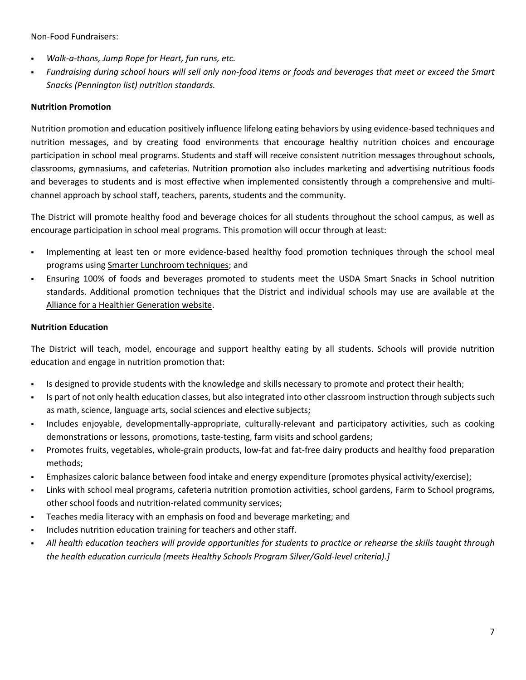Non-Food Fundraisers:

- *Walk-a-thons, Jump Rope for Heart, fun runs, etc.*
- *Fundraising during school hours will sell only non-food items or foods and beverages that meet or exceed the Smart Snacks (Pennington list) nutrition standards.*

## **Nutrition Promotion**

Nutrition promotion and education positively influence lifelong eating behaviors by using evidence-based techniques and nutrition messages, and by creating food environments that encourage healthy nutrition choices and encourage participation in school meal programs. Students and staff will receive consistent nutrition messages throughout schools, classrooms, gymnasiums, and cafeterias. Nutrition promotion also includes marketing and advertising nutritious foods and beverages to students and is most effective when implemented consistently through a comprehensive and multichannel approach by school staff, teachers, parents, students and the community.

The District will promote healthy food and beverage choices for all students throughout the school campus, as well as encourage participation in school meal programs. This promotion will occur through at least:

- Implementing at least ten or more evidence-based healthy food promotion techniques through the school meal programs using [Smarter Lunchroom techniques;](http://smarterlunchrooms.org/ideas) and
- Ensuring 100% of foods and beverages promoted to students meet the USDA Smart Snacks in School nutrition standards. Additional promotion techniques that the District and individual schools may use are available at the [Alliance for a Healthier Generation website.](https://foodplanner.healthiergeneration.org/)

### **Nutrition Education**

The District will teach, model, encourage and support healthy eating by all students. Schools will provide nutrition education and engage in nutrition promotion that:

- Is designed to provide students with the knowledge and skills necessary to promote and protect their health;
- Is part of not only health education classes, but also integrated into other classroom instruction through subjects such as math, science, language arts, social sciences and elective subjects;
- Includes enjoyable, developmentally-appropriate, culturally-relevant and participatory activities, such as cooking demonstrations or lessons, promotions, taste-testing, farm visits and school gardens;
- Promotes fruits, vegetables, whole-grain products, low-fat and fat-free dairy products and healthy food preparation methods;
- Emphasizes caloric balance between food intake and energy expenditure (promotes physical activity/exercise);
- Links with school meal programs, cafeteria nutrition promotion activities, school gardens, Farm to School programs, other school foods and nutrition-related community services;
- Teaches media literacy with an emphasis on food and beverage marketing; and
- Includes nutrition education training for teachers and other staff.
- *All health education teachers will provide opportunities for students to practice or rehearse the skills taught through the health education curricula (meets Healthy Schools Program Silver/Gold-level criteria).]*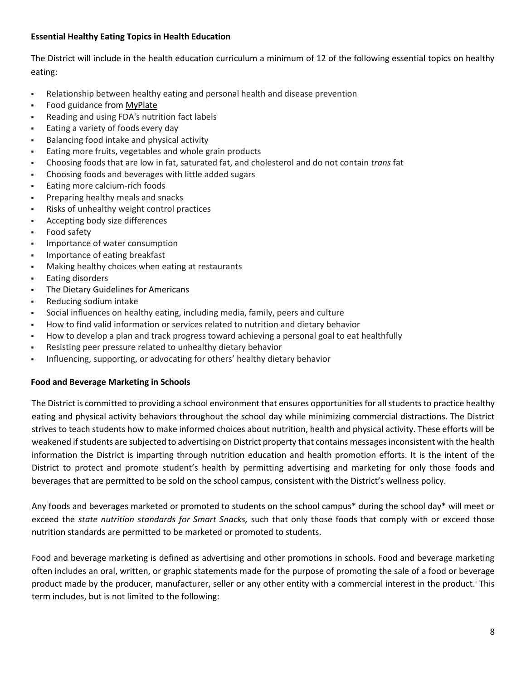## **Essential Healthy Eating Topics in Health Education**

The District will include in the health education curriculum a minimum of 12 of the following essential topics on healthy eating:

- Relationship between healthy eating and personal health and disease prevention
- **Food guidance from [MyPlate](http://www.choosemyplate.gov/)**
- Reading and using FDA's nutrition fact labels
- Eating a variety of foods every day
- Balancing food intake and physical activity
- Eating more fruits, vegetables and whole grain products
- Choosing foods that are low in fat, saturated fat, and cholesterol and do not contain *trans* fat
- Choosing foods and beverages with little added sugars
- **Eating more calcium-rich foods**
- Preparing healthy meals and snacks
- Risks of unhealthy weight control practices
- Accepting body size differences
- **Food safety**
- Importance of water consumption
- Importance of eating breakfast
- Making healthy choices when eating at restaurants
- Eating disorders
- [The Dietary Guidelines for Americans](https://www.choosemyplate.gov/dietary-guidelines)
- Reducing sodium intake
- Social influences on healthy eating, including media, family, peers and culture
- How to find valid information or services related to nutrition and dietary behavior
- How to develop a plan and track progress toward achieving a personal goal to eat healthfully
- Resisting peer pressure related to unhealthy dietary behavior
- **Influencing, supporting, or advocating for others' healthy dietary behavior**

### **Food and Beverage Marketing in Schools**

The District is committed to providing a school environment that ensures opportunities for all students to practice healthy eating and physical activity behaviors throughout the school day while minimizing commercial distractions. The District strives to teach students how to make informed choices about nutrition, health and physical activity. These efforts will be weakened if students are subjected to advertising on District property that contains messages inconsistent with the health information the District is imparting through nutrition education and health promotion efforts. It is the intent of the District to protect and promote student's health by permitting advertising and marketing for only those foods and beverages that are permitted to be sold on the school campus, consistent with the District's wellness policy.

Any foods and beverages marketed or promoted to students on the school campus\* during the school day\* will meet or exceed the *state nutrition standards for Smart Snacks,* such that only those foods that comply with or exceed those nutrition standards are permitted to be marketed or promoted to students.

Food and beverage marketing is defined as advertising and other promotions in schools. Food and beverage marketing often includes an oral, written, or graphic statements made for the purpose of promoting the sale of a food or beverage product made by the producer, manufacturer, seller or any other entity with a commercial interest in the product.<sup>1</sup> This term includes, but is not limited to the following: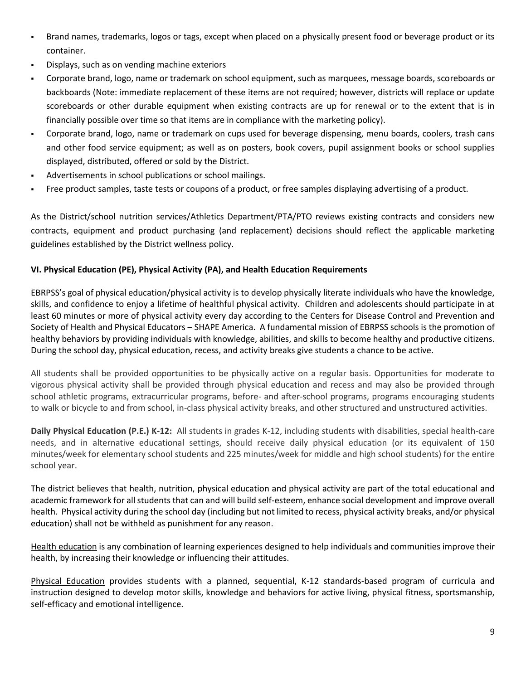- Brand names, trademarks, logos or tags, except when placed on a physically present food or beverage product or its container.
- Displays, such as on vending machine exteriors
- Corporate brand, logo, name or trademark on school equipment, such as marquees, message boards, scoreboards or backboards (Note: immediate replacement of these items are not required; however, districts will replace or update scoreboards or other durable equipment when existing contracts are up for renewal or to the extent that is in financially possible over time so that items are in compliance with the marketing policy).
- Corporate brand, logo, name or trademark on cups used for beverage dispensing, menu boards, coolers, trash cans and other food service equipment; as well as on posters, book covers, pupil assignment books or school supplies displayed, distributed, offered or sold by the District.
- Advertisements in school publications or school mailings.
- Free product samples, taste tests or coupons of a product, or free samples displaying advertising of a product.

As the District/school nutrition services/Athletics Department/PTA/PTO reviews existing contracts and considers new contracts, equipment and product purchasing (and replacement) decisions should reflect the applicable marketing guidelines established by the District wellness policy.

## **VI. Physical Education (PE), Physical Activity (PA), and Health Education Requirements**

EBRPSS's goal of physical education/physical activity is to develop physically literate individuals who have the knowledge, skills, and confidence to enjoy a lifetime of healthful physical activity. Children and adolescents should participate in at least 60 minutes or more of physical activity every day according to the Centers for Disease Control and Prevention and Society of Health and Physical Educators – SHAPE America. A fundamental mission of EBRPSS schools is the promotion of healthy behaviors by providing individuals with knowledge, abilities, and skills to become healthy and productive citizens. During the school day, physical education, recess, and activity breaks give students a chance to be active.

All students shall be provided opportunities to be physically active on a regular basis. Opportunities for moderate to vigorous physical activity shall be provided through physical education and recess and may also be provided through school athletic programs, extracurricular programs, before- and after-school programs, programs encouraging students to walk or bicycle to and from school, in-class physical activity breaks, and other structured and unstructured activities.

**Daily Physical Education (P.E.) K-12:** All students in grades K-12, including students with disabilities, special health-care needs, and in alternative educational settings, should receive daily physical education (or its equivalent of 150 minutes/week for elementary school students and 225 minutes/week for middle and high school students) for the entire school year.

The district believes that health, nutrition, physical education and physical activity are part of the total educational and academic framework for all students that can and will build self-esteem, enhance social development and improve overall health. Physical activity during the school day (including but not limited to recess, physical activity breaks, and/or physical education) shall not be withheld as punishment for any reason.

Health education is any combination of learning experiences designed to help individuals and communities improve their health, by increasing their knowledge or influencing their attitudes.

Physical Education provides students with a planned, sequential, K-12 standards-based program of curricula and instruction designed to develop motor skills, knowledge and behaviors for active living, physical fitness, sportsmanship, self-efficacy and emotional intelligence.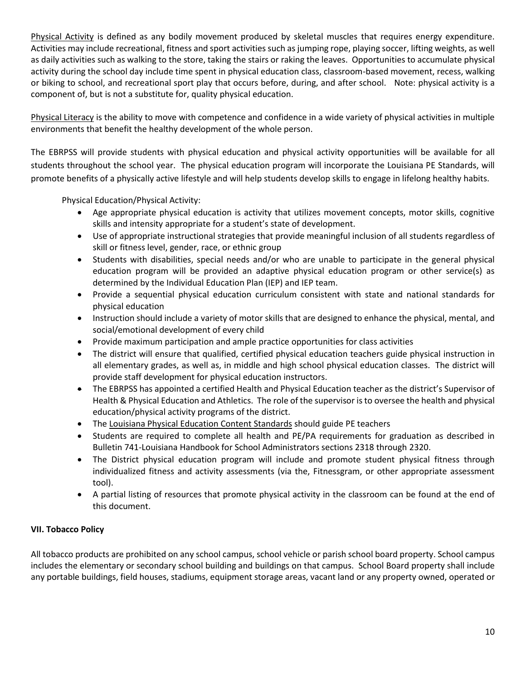Physical Activity is defined as any bodily movement produced by skeletal muscles that requires energy expenditure. Activities may include recreational, fitness and sport activities such as jumping rope, playing soccer, lifting weights, as well as daily activities such as walking to the store, taking the stairs or raking the leaves. Opportunities to accumulate physical activity during the school day include time spent in physical education class, classroom-based movement, recess, walking or biking to school, and recreational sport play that occurs before, during, and after school. Note: physical activity is a component of, but is not a substitute for, quality physical education.

Physical Literacy is the ability to move with competence and confidence in a wide variety of physical activities in multiple environments that benefit the healthy development of the whole person.

The EBRPSS will provide students with physical education and physical activity opportunities will be available for all students throughout the school year. The physical education program will incorporate the Louisiana PE Standards, will promote benefits of a physically active lifestyle and will help students develop skills to engage in lifelong healthy habits.

Physical Education/Physical Activity:

- Age appropriate physical education is activity that utilizes movement concepts, motor skills, cognitive skills and intensity appropriate for a student's state of development.
- Use of appropriate instructional strategies that provide meaningful inclusion of all students regardless of skill or fitness level, gender, race, or ethnic group
- Students with disabilities, special needs and/or who are unable to participate in the general physical education program will be provided an adaptive physical education program or other service(s) as determined by the Individual Education Plan (IEP) and IEP team.
- Provide a sequential physical education curriculum consistent with state and national standards for physical education
- Instruction should include a variety of motor skills that are designed to enhance the physical, mental, and social/emotional development of every child
- Provide maximum participation and ample practice opportunities for class activities
- The district will ensure that qualified, certified physical education teachers guide physical instruction in all elementary grades, as well as, in middle and high school physical education classes. The district will provide staff development for physical education instructors.
- The EBRPSS has appointed a certified Health and Physical Education teacher as the district's Supervisor of Health & Physical Education and Athletics. The role of the supervisor is to oversee the health and physical education/physical activity programs of the district.
- The [Louisiana Physical Education Content Standards](http://www.louisianabelieves.com/resources/library/teacher-support-toolbox-library/k-12-health-and-pe) should guide PE teachers
- Students are required to complete all health and PE/PA requirements for graduation as described in Bulletin 741-Louisiana Handbook for School Administrators sections 2318 through 2320.
- The District physical education program will include and promote student physical fitness through individualized fitness and activity assessments (via the, Fitnessgram, or other appropriate assessment tool).
- A partial listing of resources that promote physical activity in the classroom can be found at the end of this document.

# **VII. Tobacco Policy**

All tobacco products are prohibited on any school campus, school vehicle or parish school board property. School campus includes the elementary or secondary school building and buildings on that campus. School Board property shall include any portable buildings, field houses, stadiums, equipment storage areas, vacant land or any property owned, operated or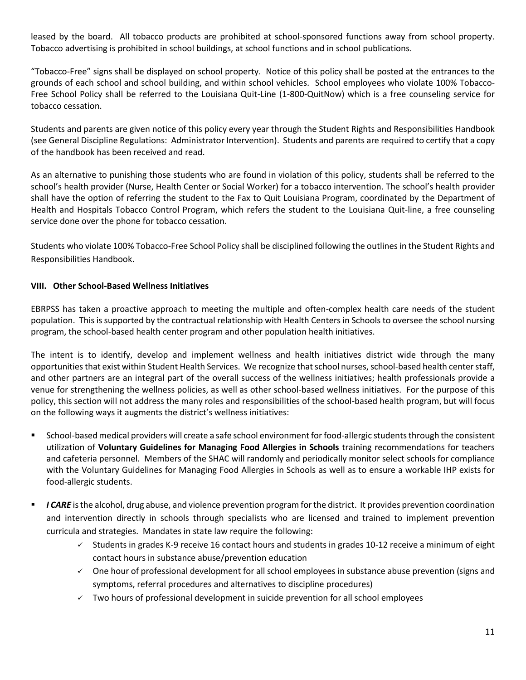leased by the board. All tobacco products are prohibited at school-sponsored functions away from school property. Tobacco advertising is prohibited in school buildings, at school functions and in school publications.

"Tobacco-Free" signs shall be displayed on school property. Notice of this policy shall be posted at the entrances to the grounds of each school and school building, and within school vehicles. School employees who violate 100% Tobacco-Free School Policy shall be referred to the Louisiana Quit-Line (1-800-QuitNow) which is a free counseling service for tobacco cessation.

Students and parents are given notice of this policy every year through the Student Rights and Responsibilities Handbook (see General Discipline Regulations: Administrator Intervention). Students and parents are required to certify that a copy of the handbook has been received and read.

As an alternative to punishing those students who are found in violation of this policy, students shall be referred to the school's health provider (Nurse, Health Center or Social Worker) for a tobacco intervention. The school's health provider shall have the option of referring the student to the Fax to Quit Louisiana Program, coordinated by the Department of Health and Hospitals Tobacco Control Program, which refers the student to the Louisiana Quit-line, a free counseling service done over the phone for tobacco cessation.

Students who violate 100% Tobacco-Free School Policy shall be disciplined following the outlines in the Student Rights and Responsibilities Handbook.

### **VIII. Other School-Based Wellness Initiatives**

EBRPSS has taken a proactive approach to meeting the multiple and often-complex health care needs of the student population. This is supported by the contractual relationship with Health Centers in Schools to oversee the school nursing program, the school-based health center program and other population health initiatives.

The intent is to identify, develop and implement wellness and health initiatives district wide through the many opportunities that exist within Student Health Services. We recognize that school nurses, school-based health center staff, and other partners are an integral part of the overall success of the wellness initiatives; health professionals provide a venue for strengthening the wellness policies, as well as other school-based wellness initiatives. For the purpose of this policy, this section will not address the many roles and responsibilities of the school-based health program, but will focus on the following ways it augments the district's wellness initiatives:

- School-based medical providers will create a safe school environment for food-allergic students through the consistent utilization of **Voluntary Guidelines for Managing Food Allergies in Schools** training recommendations for teachers and cafeteria personnel*.* Members of the SHAC will randomly and periodically monitor select schools for compliance with the Voluntary Guidelines for Managing Food Allergies in Schools as well as to ensure a workable IHP exists for food-allergic students.
- **I CARE** is the alcohol, drug abuse, and violence prevention program for the district. It provides prevention coordination and intervention directly in schools through specialists who are licensed and trained to implement prevention curricula and strategies. Mandates in state law require the following:
	- $\checkmark$  Students in grades K-9 receive 16 contact hours and students in grades 10-12 receive a minimum of eight contact hours in substance abuse/prevention education
	- $\check{\phantom{\phi}}$  One hour of professional development for all school employees in substance abuse prevention (signs and symptoms, referral procedures and alternatives to discipline procedures)
	- $\checkmark$  Two hours of professional development in suicide prevention for all school employees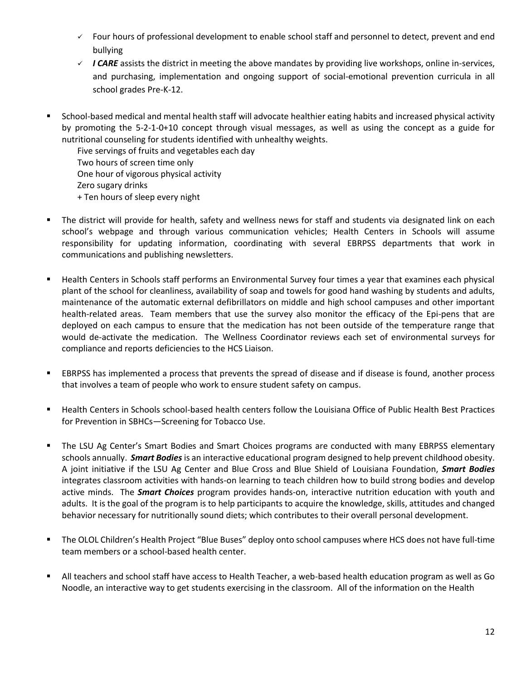- $\checkmark$  Four hours of professional development to enable school staff and personnel to detect, prevent and end bullying
- $\checkmark$  *I CARE* assists the district in meeting the above mandates by providing live workshops, online in-services, and purchasing, implementation and ongoing support of social-emotional prevention curricula in all school grades Pre-K-12.
- School-based medical and mental health staff will advocate healthier eating habits and increased physical activity by promoting the 5-2-1-0+10 concept through visual messages, as well as using the concept as a guide for nutritional counseling for students identified with unhealthy weights.

Five servings of fruits and vegetables each day Two hours of screen time only One hour of vigorous physical activity Zero sugary drinks + Ten hours of sleep every night

- The district will provide for health, safety and wellness news for staff and students via designated link on each school's webpage and through various communication vehicles; Health Centers in Schools will assume responsibility for updating information, coordinating with several EBRPSS departments that work in communications and publishing newsletters.
- Health Centers in Schools staff performs an Environmental Survey four times a year that examines each physical plant of the school for cleanliness, availability of soap and towels for good hand washing by students and adults, maintenance of the automatic external defibrillators on middle and high school campuses and other important health-related areas. Team members that use the survey also monitor the efficacy of the Epi-pens that are deployed on each campus to ensure that the medication has not been outside of the temperature range that would de-activate the medication. The Wellness Coordinator reviews each set of environmental surveys for compliance and reports deficiencies to the HCS Liaison.
- EBRPSS has implemented a process that prevents the spread of disease and if disease is found, another process that involves a team of people who work to ensure student safety on campus.
- Health Centers in Schools school-based health centers follow the Louisiana Office of Public Health Best Practices for Prevention in SBHCs—Screening for Tobacco Use.
- The LSU Ag Center's Smart Bodies and Smart Choices programs are conducted with many EBRPSS elementary schools annually. *Smart Bodies*is an interactive educational program designed to help prevent childhood obesity. A joint initiative if the LSU Ag Center and Blue Cross and Blue Shield of Louisiana Foundation, *Smart Bodies* integrates classroom activities with hands-on learning to teach children how to build strong bodies and develop active minds. The *Smart Choices* program provides hands-on, interactive nutrition education with youth and adults. It is the goal of the program is to help participants to acquire the knowledge, skills, attitudes and changed behavior necessary for nutritionally sound diets; which contributes to their overall personal development.
- The OLOL Children's Health Project "Blue Buses" deploy onto school campuses where HCS does not have full-time team members or a school-based health center.
- All teachers and school staff have access to Health Teacher, a web-based health education program as well as Go Noodle, an interactive way to get students exercising in the classroom. All of the information on the Health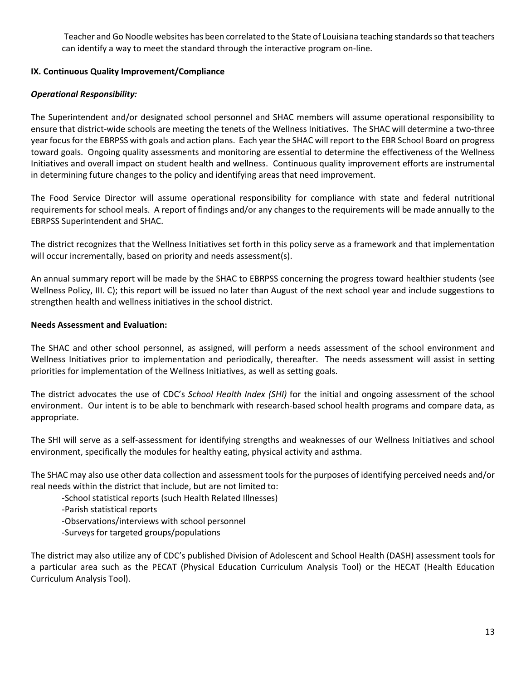Teacher and Go Noodle websites has been correlated to the State of Louisiana teaching standards so that teachers can identify a way to meet the standard through the interactive program on-line.

### **IX. Continuous Quality Improvement/Compliance**

### *Operational Responsibility:*

The Superintendent and/or designated school personnel and SHAC members will assume operational responsibility to ensure that district-wide schools are meeting the tenets of the Wellness Initiatives. The SHAC will determine a two-three year focus for the EBRPSS with goals and action plans. Each year the SHAC will report to the EBR School Board on progress toward goals. Ongoing quality assessments and monitoring are essential to determine the effectiveness of the Wellness Initiatives and overall impact on student health and wellness. Continuous quality improvement efforts are instrumental in determining future changes to the policy and identifying areas that need improvement.

The Food Service Director will assume operational responsibility for compliance with state and federal nutritional requirements for school meals. A report of findings and/or any changes to the requirements will be made annually to the EBRPSS Superintendent and SHAC.

The district recognizes that the Wellness Initiatives set forth in this policy serve as a framework and that implementation will occur incrementally, based on priority and needs assessment(s).

An annual summary report will be made by the SHAC to EBRPSS concerning the progress toward healthier students (see Wellness Policy, III. C); this report will be issued no later than August of the next school year and include suggestions to strengthen health and wellness initiatives in the school district.

### **Needs Assessment and Evaluation:**

The SHAC and other school personnel, as assigned, will perform a needs assessment of the school environment and Wellness Initiatives prior to implementation and periodically, thereafter. The needs assessment will assist in setting priorities for implementation of the Wellness Initiatives, as well as setting goals.

The district advocates the use of CDC's *School Health Index (SHI)* for the initial and ongoing assessment of the school environment. Our intent is to be able to benchmark with research-based school health programs and compare data, as appropriate.

The SHI will serve as a self-assessment for identifying strengths and weaknesses of our Wellness Initiatives and school environment, specifically the modules for healthy eating, physical activity and asthma.

The SHAC may also use other data collection and assessment tools for the purposes of identifying perceived needs and/or real needs within the district that include, but are not limited to:

-School statistical reports (such Health Related Illnesses)

- -Parish statistical reports
- -Observations/interviews with school personnel
- -Surveys for targeted groups/populations

The district may also utilize any of CDC's published Division of Adolescent and School Health (DASH) assessment tools for a particular area such as the PECAT (Physical Education Curriculum Analysis Tool) or the HECAT (Health Education Curriculum Analysis Tool).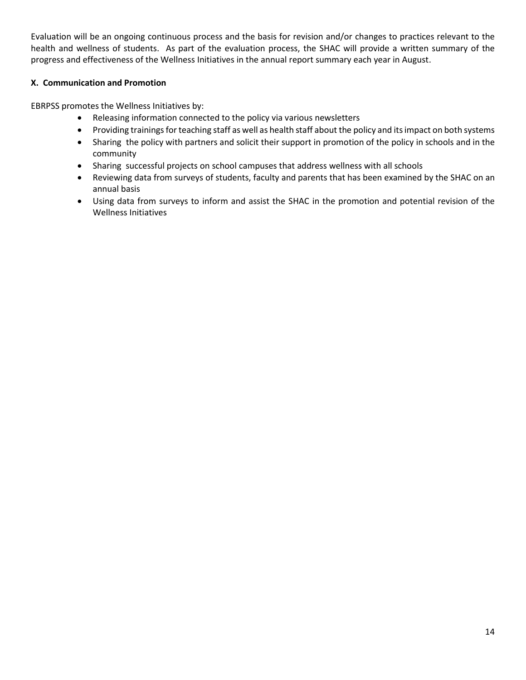Evaluation will be an ongoing continuous process and the basis for revision and/or changes to practices relevant to the health and wellness of students. As part of the evaluation process, the SHAC will provide a written summary of the progress and effectiveness of the Wellness Initiatives in the annual report summary each year in August.

### **X. Communication and Promotion**

EBRPSS promotes the Wellness Initiatives by:

- Releasing information connected to the policy via various newsletters
- Providing trainings for teaching staff as well as health staff about the policy and its impact on both systems
- Sharing the policy with partners and solicit their support in promotion of the policy in schools and in the community
- Sharing successful projects on school campuses that address wellness with all schools
- Reviewing data from surveys of students, faculty and parents that has been examined by the SHAC on an annual basis
- Using data from surveys to inform and assist the SHAC in the promotion and potential revision of the Wellness Initiatives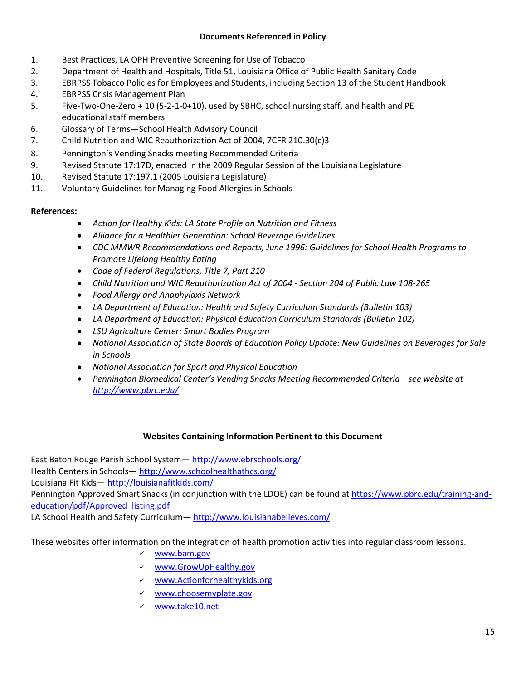## **Documents Referenced in Policy**

- 1. Best Practices, LA OPH Preventive Screening for Use of Tobacco
- 2. Department of Health and Hospitals, Title 51, Louisiana Office of Public Health Sanitary Code
- 3. EBRPSS Tobacco Policies for Employees and Students, including Section 13 of the Student Handbook
- 4. EBRPSS Crisis Management Plan
- 5. Five-Two-One-Zero + 10 (5-2-1-0+10), used by SBHC, school nursing staff, and health and PE educational staff members
- 6. Glossary of Terms—School Health Advisory Council
- 7. Child Nutrition and WIC Reauthorization Act of 2004, 7CFR 210.30(c)3
- 8. Pennington's Vending Snacks meeting Recommended Criteria
- 9. Revised Statute 17:17D, enacted in the 2009 Regular Session of the Louisiana Legislature
- 10. Revised Statute 17:197.1 (2005 Louisiana Legislature)
- 11. Voluntary Guidelines for Managing Food Allergies in Schools

### **References:**

- *Action for Healthy Kids: LA State Profile on Nutrition and Fitness*
- *Alliance for a Healthier Generation: School Beverage Guidelines*
- *CDC MMWR Recommendations and Reports, June 1996: Guidelines for School Health Programs to Promote Lifelong Healthy Eating*
- *Code of Federal Regulations, Title 7, Part 210*
- *Child Nutrition and WIC Reauthorization Act of 2004 - Section 204 of Public Law 108-265*
- *Food Allergy and Anaphylaxis Network*
- *LA Department of Education: Health and Safety Curriculum Standards (Bulletin 103)*
- *LA Department of Education: Physical Education Curriculum Standards (Bulletin 102)*
- *LSU Agriculture Center: Smart Bodies Program*
- *National Association of State Boards of Education Policy Update: New Guidelines on Beverages for Sale in Schools*
- *National Association for Sport and Physical Education*
- *Pennington Biomedical Center's Vending Snacks Meeting Recommended Criteria—see website at <http://www.pbrc.edu/>*

### **Websites Containing Information Pertinent to this Document**

East Baton Rouge Parish School System— <http://www.ebrschools.org/> Health Centers in Schools— <http://www.schoolhealthathcs.org/> Louisiana Fit Kids— <http://louisianafitkids.com/> Pennington Approved Smart Snacks (in conjunction with the LDOE) can be found at [https://www.pbrc.edu/training-and](https://www.pbrc.edu/training-and-education/pdf/Approved_listing.pdf)[education/pdf/Approved\\_listing.pdf](https://www.pbrc.edu/training-and-education/pdf/Approved_listing.pdf)

LA School Health and Safety Curriculum - <http://www.louisianabelieves.com/>

These websites offer information on the integration of health promotion activities into regular classroom lessons.

- [www.bam.gov](http://www.bam.gov/)
- [www.GrowUpHealthy.gov](http://www.growuphealthy.gov/)
- [www.Actionforhealthykids.org](http://www.actionforhealthykids.org/)
- [www.choosemyplate.gov](http://www.choosemyplate.gov/)
- [www.take10.net](http://www.take10.net/)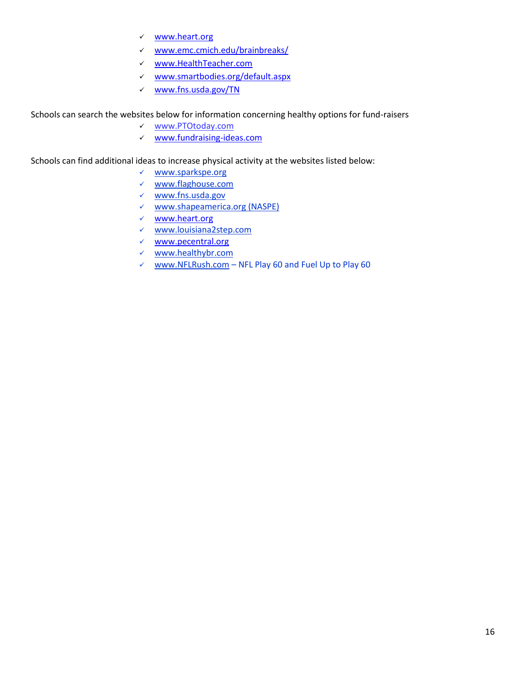- [www.heart.org](http://www.heart.org/)
- [www.emc.cmich.edu/brainbreaks/](http://www.emc.cmich.edu/brainbreaks/)
- www.HealthTeacher.com
- [www.smartbodies.org/default.aspx](http://www.smartbodies.org/default.aspx)
- [www.fns.usda.gov/TN](http://www.fns.usda.gov/TN)

Schools can search the websites below for information concerning healthy options for fund-raisers

- [www.PTOtoday.com](http://www.ptotoday.com/)
- [www.fundraising-ideas.com](http://www.fundraising-ideas.com/)

Schools can find additional ideas to increase physical activity at the websites listed below:

- www.sparkspe.org
- www.flaghouse.com
- www.fns.usda.gov
- [www.shapeamerica.org](http://www.shapeamerica.org/) (NASPE)
- [www.heart.org](http://www.heart.org/)
- [www.louisiana2step.com](http://www.louisiana2step.com/)
- $\times$  [www.pecentral.org](http://www.pecentral.org/)
- [www.healthybr.com](http://www.healthybr.com/)
- $\checkmark$  [www.NFLRush.com](http://www.nflrush.com/) NFL Play 60 and Fuel Up to Play 60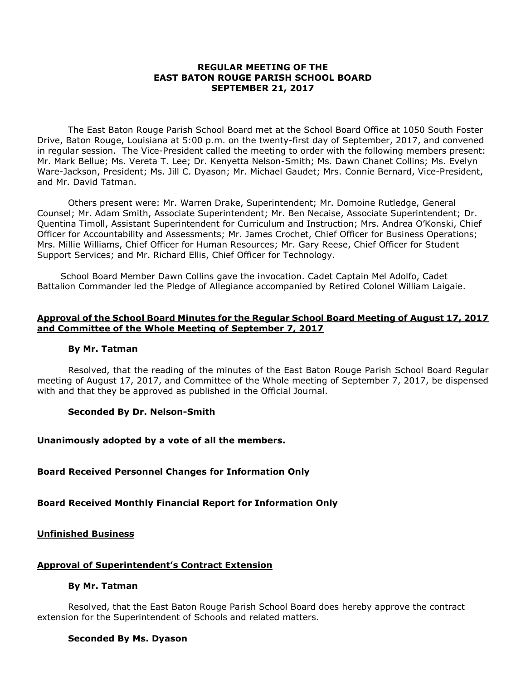#### **REGULAR MEETING OF THE EAST BATON ROUGE PARISH SCHOOL BOARD SEPTEMBER 21, 2017**

The East Baton Rouge Parish School Board met at the School Board Office at 1050 South Foster Drive, Baton Rouge, Louisiana at 5:00 p.m. on the twenty-first day of September, 2017, and convened in regular session. The Vice-President called the meeting to order with the following members present: Mr. Mark Bellue; Ms. Vereta T. Lee; Dr. Kenyetta Nelson-Smith; Ms. Dawn Chanet Collins; Ms. Evelyn Ware-Jackson, President; Ms. Jill C. Dyason; Mr. Michael Gaudet; Mrs. Connie Bernard, Vice-President, and Mr. David Tatman.

Others present were: Mr. Warren Drake, Superintendent; Mr. Domoine Rutledge, General Counsel; Mr. Adam Smith, Associate Superintendent; Mr. Ben Necaise, Associate Superintendent; Dr. Quentina Timoll, Assistant Superintendent for Curriculum and Instruction; Mrs. Andrea O'Konski, Chief Officer for Accountability and Assessments; Mr. James Crochet, Chief Officer for Business Operations; Mrs. Millie Williams, Chief Officer for Human Resources; Mr. Gary Reese, Chief Officer for Student Support Services; and Mr. Richard Ellis, Chief Officer for Technology.

School Board Member Dawn Collins gave the invocation. Cadet Captain Mel Adolfo, Cadet Battalion Commander led the Pledge of Allegiance accompanied by Retired Colonel William Laigaie.

#### **Approval of the School Board Minutes for the Regular School Board Meeting of August 17, 2017 and Committee of the Whole Meeting of September 7, 2017**

#### **By Mr. Tatman**

Resolved, that the reading of the minutes of the East Baton Rouge Parish School Board Regular meeting of August 17, 2017, and Committee of the Whole meeting of September 7, 2017, be dispensed with and that they be approved as published in the Official Journal.

#### **Seconded By Dr. Nelson-Smith**

#### **Unanimously adopted by a vote of all the members.**

#### **Board Received Personnel Changes for Information Only**

#### **Board Received Monthly Financial Report for Information Only**

**Unfinished Business** 

#### **Approval of Superintendent's Contract Extension**

#### **By Mr. Tatman**

Resolved, that the East Baton Rouge Parish School Board does hereby approve the contract extension for the Superintendent of Schools and related matters.

#### **Seconded By Ms. Dyason**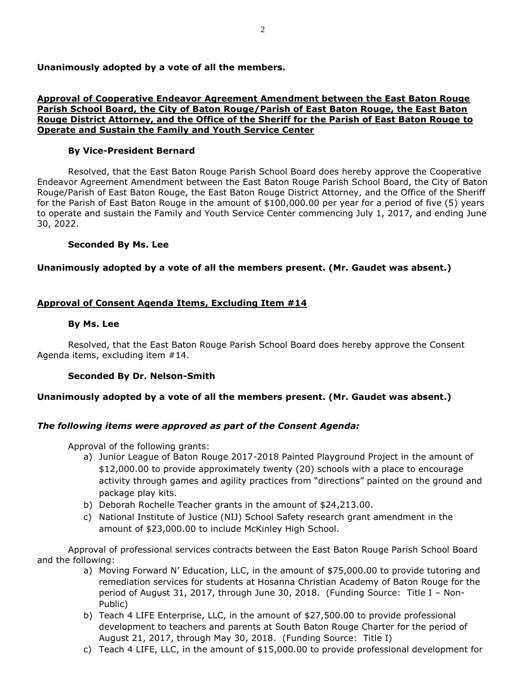**Unanimously adopted by a vote of all the members.**

### **Approval of Cooperative Endeavor Agreement Amendment between the East Baton Rouge Parish School Board, the City of Baton Rouge/Parish of East Baton Rouge, the East Baton Rouge District Attorney, and the Office of the Sheriff for the Parish of East Baton Rouge to Operate and Sustain the Family and Youth Service Center**

### **By Vice-President Bernard**

Resolved, that the East Baton Rouge Parish School Board does hereby approve the Cooperative Endeavor Agreement Amendment between the East Baton Rouge Parish School Board, the City of Baton Rouge/Parish of East Baton Rouge, the East Baton Rouge District Attorney, and the Office of the Sheriff for the Parish of East Baton Rouge in the amount of \$100,000.00 per year for a period of five (5) years to operate and sustain the Family and Youth Service Center commencing July 1, 2017, and ending June 30, 2022.

### **Seconded By Ms. Lee**

### **Unanimously adopted by a vote of all the members present. (Mr. Gaudet was absent.)**

### **Approval of Consent Agenda Items, Excluding Item #14**

### **By Ms. Lee**

Resolved, that the East Baton Rouge Parish School Board does hereby approve the Consent Agenda items, excluding item #14.

### **Seconded By Dr. Nelson-Smith**

### **Unanimously adopted by a vote of all the members present. (Mr. Gaudet was absent.)**

## *The following items were approved as part of the Consent Agenda:*

Approval of the following grants:

- a) Junior League of Baton Rouge 2017-2018 Painted Playground Project in the amount of \$12,000.00 to provide approximately twenty (20) schools with a place to encourage activity through games and agility practices from "directions" painted on the ground and package play kits.
- b) Deborah Rochelle Teacher grants in the amount of \$24,213.00.
- c) National Institute of Justice (NIJ) School Safety research grant amendment in the amount of \$23,000.00 to include McKinley High School.

Approval of professional services contracts between the East Baton Rouge Parish School Board and the following:

- a) Moving Forward N' Education, LLC, in the amount of \$75,000.00 to provide tutoring and remediation services for students at Hosanna Christian Academy of Baton Rouge for the period of August 31, 2017, through June 30, 2018. (Funding Source: Title I – Non-Public)
- b) Teach 4 LIFE Enterprise, LLC, in the amount of \$27,500.00 to provide professional development to teachers and parents at South Baton Rouge Charter for the period of August 21, 2017, through May 30, 2018. (Funding Source: Title I)
- c) Teach 4 LIFE, LLC, in the amount of \$15,000.00 to provide professional development for